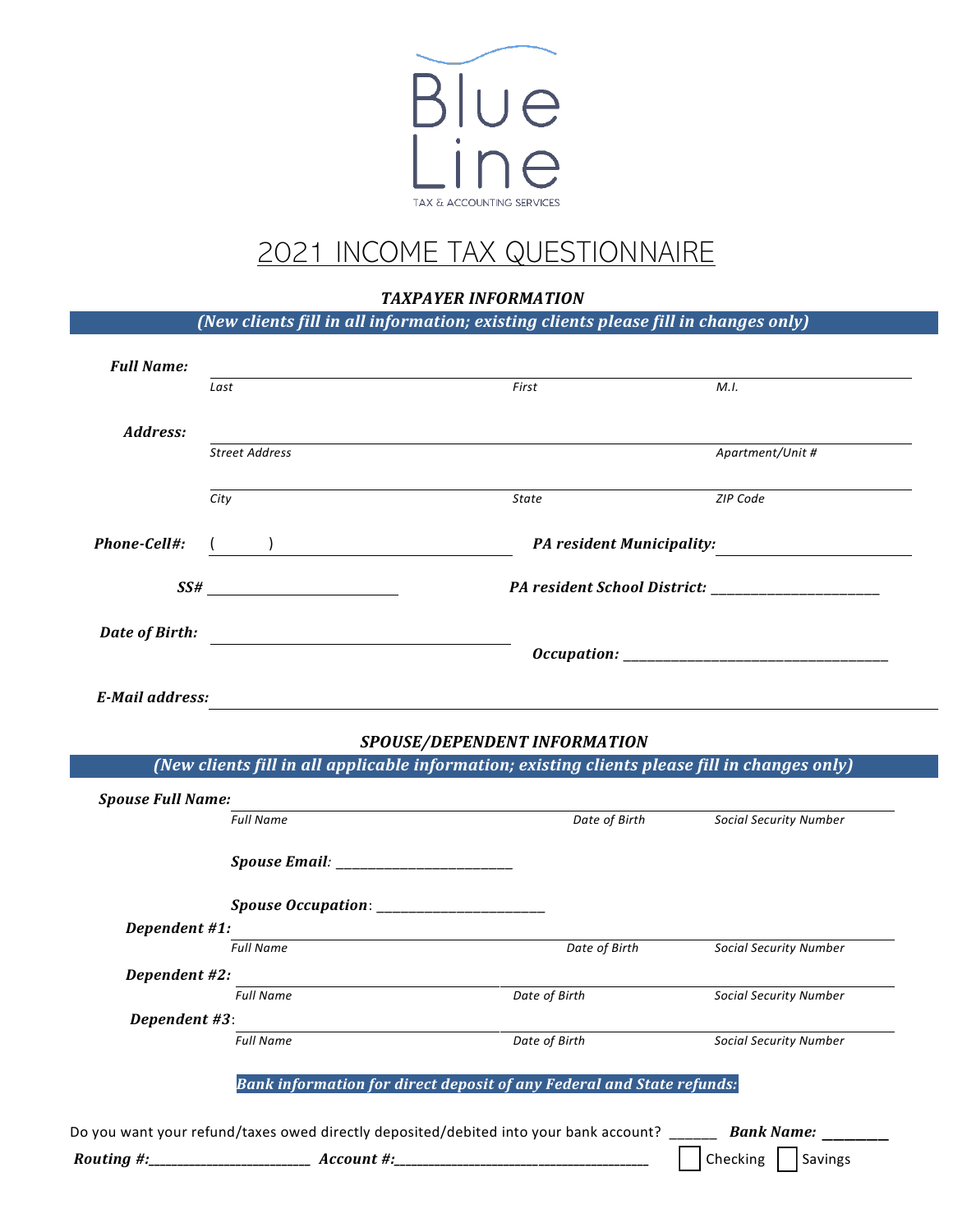

# 2021 INCOME TAX QUESTIONNAIRE

# *TAXPAYER INFORMATION*

|                          |                                                  | <i><b>I AAPATEK INFURMATIUN</b></i>                                                                       |                               |
|--------------------------|--------------------------------------------------|-----------------------------------------------------------------------------------------------------------|-------------------------------|
|                          |                                                  | (New clients fill in all information; existing clients please fill in changes only)                       |                               |
| <b>Full Name:</b>        |                                                  |                                                                                                           |                               |
|                          | Last                                             | First                                                                                                     | M.I.                          |
| Address:                 |                                                  |                                                                                                           |                               |
|                          | Street Address                                   |                                                                                                           | Apartment/Unit #              |
|                          | City                                             | State                                                                                                     | ZIP Code                      |
|                          |                                                  |                                                                                                           |                               |
| Phone-Cell#:             |                                                  |                                                                                                           | PA resident Municipality:     |
|                          | SSH                                              |                                                                                                           |                               |
|                          |                                                  |                                                                                                           |                               |
| Date of Birth:           | <u> 1980 - Jan Samuel Barbara, martin di</u>     |                                                                                                           |                               |
|                          |                                                  |                                                                                                           |                               |
| <b>E-Mail address:</b>   |                                                  |                                                                                                           |                               |
|                          |                                                  | SPOUSE/DEPENDENT INFORMATION                                                                              |                               |
|                          |                                                  | (New clients fill in all applicable information; existing clients please fill in changes only)            |                               |
| <b>Spouse Full Name:</b> |                                                  |                                                                                                           |                               |
|                          | <b>Full Name</b>                                 | Date of Birth                                                                                             | <b>Social Security Number</b> |
|                          |                                                  |                                                                                                           |                               |
|                          | <b>Spouse Occupation:</b> ______________________ |                                                                                                           |                               |
| Dependent #1:            |                                                  |                                                                                                           |                               |
|                          | <b>Full Name</b>                                 | Date of Birth                                                                                             | <b>Social Security Number</b> |
| Dependent #2:            | <b>Full Name</b>                                 | Date of Birth                                                                                             | <b>Social Security Number</b> |
| Dependent #3:            |                                                  |                                                                                                           |                               |
|                          | <b>Full Name</b>                                 | Date of Birth                                                                                             | <b>Social Security Number</b> |
|                          |                                                  | Bank information for direct deposit of any Federal and State refunds:                                     |                               |
|                          |                                                  |                                                                                                           |                               |
|                          |                                                  | Do you want your refund/taxes owed directly deposited/debited into your bank account? ________ Bank Name: |                               |
|                          |                                                  |                                                                                                           | Checking   Savings            |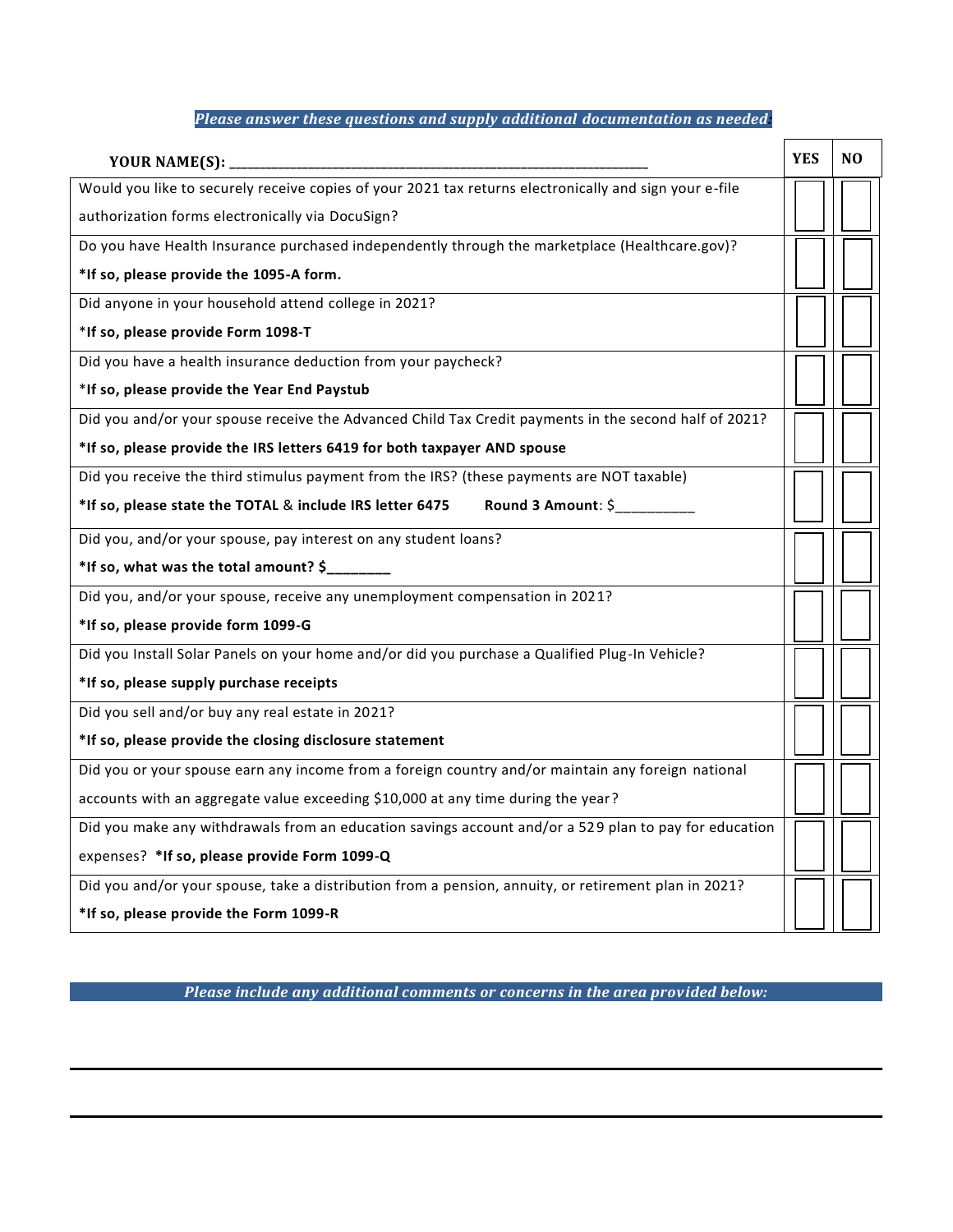# *Please answer these questions and supply additional documentation as needed:*

|                                                                                                        | <b>YES</b> | N <sub>0</sub> |  |  |
|--------------------------------------------------------------------------------------------------------|------------|----------------|--|--|
| Would you like to securely receive copies of your 2021 tax returns electronically and sign your e-file |            |                |  |  |
| authorization forms electronically via DocuSign?                                                       |            |                |  |  |
| Do you have Health Insurance purchased independently through the marketplace (Healthcare.gov)?         |            |                |  |  |
| *If so, please provide the 1095-A form.                                                                |            |                |  |  |
| Did anyone in your household attend college in 2021?                                                   |            |                |  |  |
| *If so, please provide Form 1098-T                                                                     |            |                |  |  |
| Did you have a health insurance deduction from your paycheck?                                          |            |                |  |  |
| *If so, please provide the Year End Paystub                                                            |            |                |  |  |
| Did you and/or your spouse receive the Advanced Child Tax Credit payments in the second half of 2021?  |            |                |  |  |
| *If so, please provide the IRS letters 6419 for both taxpayer AND spouse                               |            |                |  |  |
| Did you receive the third stimulus payment from the IRS? (these payments are NOT taxable)              |            |                |  |  |
| Round 3 Amount: \$<br>*If so, please state the TOTAL & include IRS letter 6475                         |            |                |  |  |
| Did you, and/or your spouse, pay interest on any student loans?                                        |            |                |  |  |
| *If so, what was the total amount? \$                                                                  |            |                |  |  |
| Did you, and/or your spouse, receive any unemployment compensation in 2021?                            |            |                |  |  |
| *If so, please provide form 1099-G                                                                     |            |                |  |  |
| Did you Install Solar Panels on your home and/or did you purchase a Qualified Plug-In Vehicle?         |            |                |  |  |
| *If so, please supply purchase receipts                                                                |            |                |  |  |
| Did you sell and/or buy any real estate in 2021?                                                       |            |                |  |  |
| *If so, please provide the closing disclosure statement                                                |            |                |  |  |
| Did you or your spouse earn any income from a foreign country and/or maintain any foreign national     |            |                |  |  |
| accounts with an aggregate value exceeding \$10,000 at any time during the year?                       |            |                |  |  |
| Did you make any withdrawals from an education savings account and/or a 529 plan to pay for education  |            |                |  |  |
| expenses? *If so, please provide Form 1099-Q                                                           |            |                |  |  |
| Did you and/or your spouse, take a distribution from a pension, annuity, or retirement plan in 2021?   |            |                |  |  |
| *If so, please provide the Form 1099-R                                                                 |            |                |  |  |

*Please include any additional comments or concerns in the area provided below:*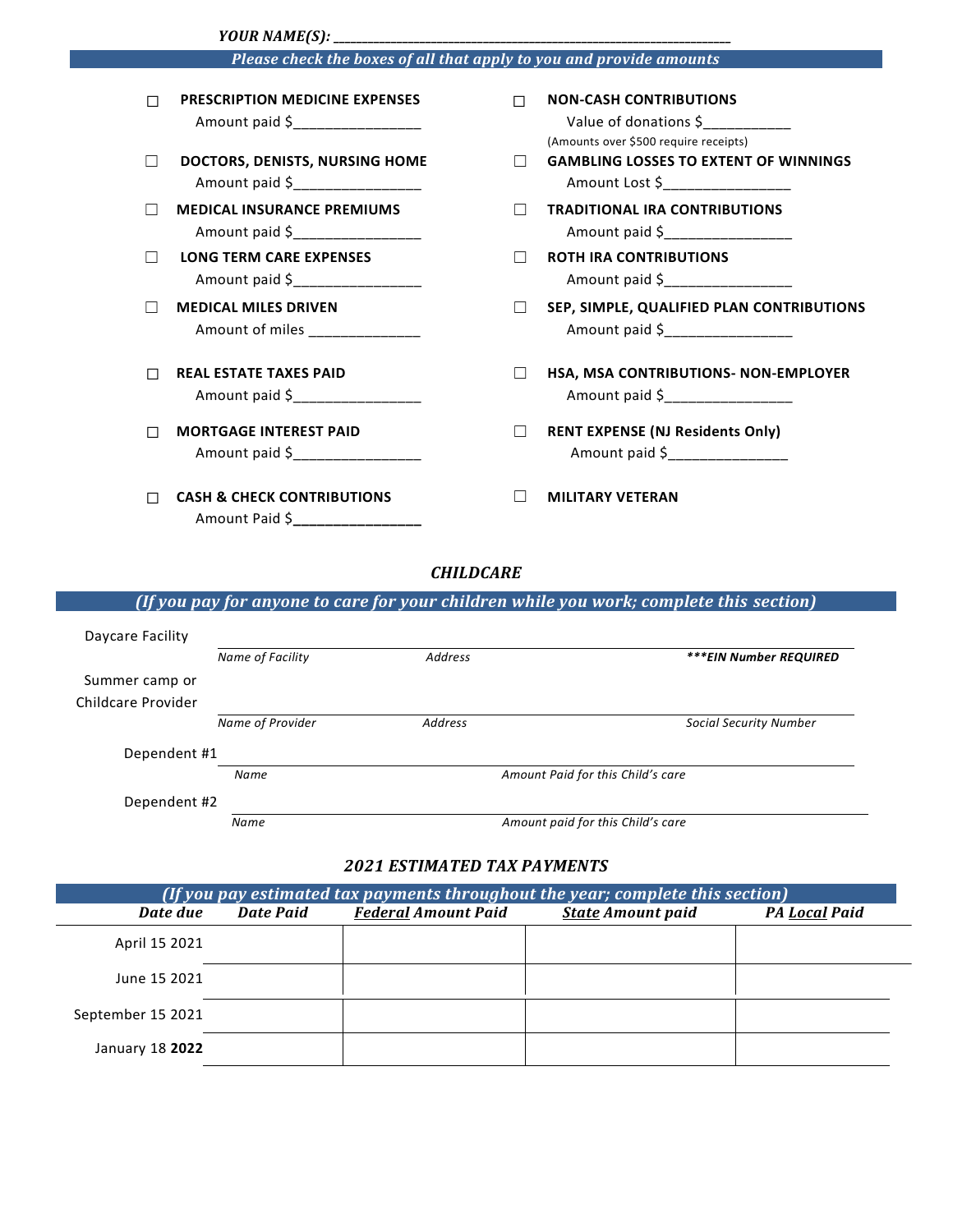|                                                                     | YOUR NAME(S): _                                                            |   |                                                                                                 |  |  |  |
|---------------------------------------------------------------------|----------------------------------------------------------------------------|---|-------------------------------------------------------------------------------------------------|--|--|--|
| Please check the boxes of all that apply to you and provide amounts |                                                                            |   |                                                                                                 |  |  |  |
| П                                                                   | <b>PRESCRIPTION MEDICINE EXPENSES</b><br>Amount paid \$___________________ | П | <b>NON-CASH CONTRIBUTIONS</b><br>Value of donations \$<br>(Amounts over \$500 require receipts) |  |  |  |
|                                                                     | DOCTORS, DENISTS, NURSING HOME<br>Amount paid \$                           |   | <b>GAMBLING LOSSES TO EXTENT OF WINNINGS</b><br>Amount Lost \$_________________                 |  |  |  |
|                                                                     | <b>MEDICAL INSURANCE PREMIUMS</b><br>Amount paid \$                        |   | <b>TRADITIONAL IRA CONTRIBUTIONS</b><br>Amount paid \$                                          |  |  |  |
|                                                                     | <b>LONG TERM CARE EXPENSES</b><br>Amount paid \$_________________          |   | <b>ROTH IRA CONTRIBUTIONS</b><br>Amount paid \$_________________                                |  |  |  |
|                                                                     | <b>MEDICAL MILES DRIVEN</b><br>Amount of miles ________________            |   | SEP, SIMPLE, QUALIFIED PLAN CONTRIBUTIONS<br>Amount paid \$_________________                    |  |  |  |
|                                                                     | <b>REAL ESTATE TAXES PAID</b><br>Amount paid \$                            |   | HSA, MSA CONTRIBUTIONS- NON-EMPLOYER<br>Amount paid \$                                          |  |  |  |
| П                                                                   | <b>MORTGAGE INTEREST PAID</b><br>Amount paid \$                            |   | <b>RENT EXPENSE (NJ Residents Only)</b><br>Amount paid \$_______________                        |  |  |  |
|                                                                     | <b>CASH &amp; CHECK CONTRIBUTIONS</b><br>Amount Paid \$_________________   |   | <b>MILITARY VETERAN</b>                                                                         |  |  |  |

### *CHILDCARE*

# *(If you pay for anyone to care for your children while you work; complete this section)*

|                    | Name of Facility | <b>Address</b>                    | ***EIN Number REQUIRED            |  |
|--------------------|------------------|-----------------------------------|-----------------------------------|--|
| Summer camp or     |                  |                                   |                                   |  |
|                    |                  |                                   |                                   |  |
| Childcare Provider |                  |                                   |                                   |  |
|                    | Name of Provider | Address                           | <b>Social Security Number</b>     |  |
| Dependent #1       |                  |                                   |                                   |  |
|                    | Name             | Amount Paid for this Child's care |                                   |  |
| Dependent #2       |                  |                                   |                                   |  |
|                    | Name             |                                   | Amount paid for this Child's care |  |

### *2021 ESTIMATED TAX PAYMENTS*

| (If you pay estimated tax payments throughout the year; complete this section) |           |                            |                          |                      |  |
|--------------------------------------------------------------------------------|-----------|----------------------------|--------------------------|----------------------|--|
| Date due                                                                       | Date Paid | <b>Federal Amount Paid</b> | <b>State Amount paid</b> | <b>PA Local Paid</b> |  |
| April 15 2021                                                                  |           |                            |                          |                      |  |
| June 15 2021                                                                   |           |                            |                          |                      |  |
| September 15 2021                                                              |           |                            |                          |                      |  |
| January 18 2022                                                                |           |                            |                          |                      |  |